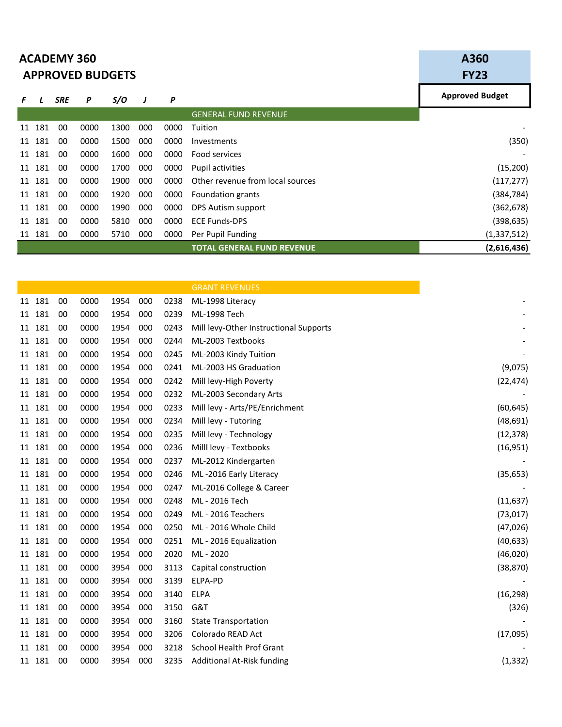|    |        | <b>ACADEMY 360</b><br><b>APPROVED BUDGETS</b> | A360<br><b>FY23</b> |      |     |      |                                   |                        |
|----|--------|-----------------------------------------------|---------------------|------|-----|------|-----------------------------------|------------------------|
| F  |        | <b>SRE</b>                                    | P                   | S/O  | J   | P    |                                   | <b>Approved Budget</b> |
|    |        |                                               |                     |      |     |      | <b>GENERAL FUND REVENUE</b>       |                        |
| 11 | 181    | 00                                            | 0000                | 1300 | 000 | 0000 | Tuition                           |                        |
| 11 | 181    | 00                                            | 0000                | 1500 | 000 | 0000 | Investments                       | (350)                  |
| 11 | 181    | 00                                            | 0000                | 1600 | 000 | 0000 | Food services                     |                        |
|    | 11 181 | 00                                            | 0000                | 1700 | 000 | 0000 | <b>Pupil activities</b>           | (15,200)               |
| 11 | 181    | 00                                            | 0000                | 1900 | 000 | 0000 | Other revenue from local sources  | (117, 277)             |
|    | 11 181 | 00                                            | 0000                | 1920 | 000 | 0000 | Foundation grants                 | (384, 784)             |
|    | 11 181 | 00                                            | 0000                | 1990 | 000 | 0000 | DPS Autism support                | (362, 678)             |
| 11 | 181    | 00                                            | 0000                | 5810 | 000 | 0000 | <b>ECE Funds-DPS</b>              | (398, 635)             |
|    | 11 181 | 00                                            | 0000                | 5710 | 000 | 0000 | Per Pupil Funding                 | (1,337,512)            |
|    |        |                                               |                     |      |     |      | <b>TOTAL GENERAL FUND REVENUE</b> | (2,616,436)            |

|    |        |    |      |      |     |      | <b>GRANT REVENUES</b>                  |
|----|--------|----|------|------|-----|------|----------------------------------------|
|    | 11 181 | 00 | 0000 | 1954 | 000 | 0238 | ML-1998 Literacy                       |
|    | 11 181 | 00 | 0000 | 1954 | 000 | 0239 | ML-1998 Tech                           |
| 11 | 181    | 00 | 0000 | 1954 | 000 | 0243 | Mill levy-Other Instructional Supports |
|    | 11 181 | 00 | 0000 | 1954 | 000 | 0244 | ML-2003 Textbooks                      |
| 11 | 181    | 00 | 0000 | 1954 | 000 | 0245 | ML-2003 Kindy Tuition                  |
| 11 | 181    | 00 | 0000 | 1954 | 000 | 0241 | ML-2003 HS Graduation                  |
| 11 | 181    | 00 | 0000 | 1954 | 000 | 0242 | Mill levy-High Poverty                 |
| 11 | 181    | 00 | 0000 | 1954 | 000 | 0232 | ML-2003 Secondary Arts                 |
|    | 11 181 | 00 | 0000 | 1954 | 000 | 0233 | Mill levy - Arts/PE/Enrichment         |
| 11 | 181    | 00 | 0000 | 1954 | 000 | 0234 | Mill levy - Tutoring                   |
| 11 | 181    | 00 | 0000 | 1954 | 000 | 0235 | Mill levy - Technology                 |
| 11 | 181    | 00 | 0000 | 1954 | 000 | 0236 | Milll levy - Textbooks                 |
| 11 | 181    | 00 | 0000 | 1954 | 000 | 0237 | ML-2012 Kindergarten                   |
|    | 11 181 | 00 | 0000 | 1954 | 000 | 0246 | ML-2016 Early Literacy                 |
| 11 | 181    | 00 | 0000 | 1954 | 000 | 0247 | ML-2016 College & Career               |
|    | 11 181 | 00 | 0000 | 1954 | 000 | 0248 | ML - 2016 Tech                         |
| 11 | 181    | 00 | 0000 | 1954 | 000 | 0249 | ML - 2016 Teachers                     |
| 11 | 181    | 00 | 0000 | 1954 | 000 | 0250 | ML - 2016 Whole Child                  |
|    | 11 181 | 00 | 0000 | 1954 | 000 | 0251 | ML - 2016 Equalization                 |
| 11 | 181    | 00 | 0000 | 1954 | 000 | 2020 | ML - 2020                              |
|    | 11 181 | 00 | 0000 | 3954 | 000 | 3113 | Capital construction                   |
| 11 | 181    | 00 | 0000 | 3954 | 000 | 3139 | ELPA-PD                                |
| 11 | 181    | 00 | 0000 | 3954 | 000 | 3140 | <b>ELPA</b>                            |
|    | 11 181 | 00 | 0000 | 3954 | 000 | 3150 | G&T                                    |
| 11 | 181    | 00 | 0000 | 3954 | 000 | 3160 | <b>State Transportation</b>            |
|    | 11 181 | 00 | 0000 | 3954 | 000 | 3206 | Colorado READ Act                      |
| 11 | 181    | 00 | 0000 | 3954 | 000 | 3218 | School Health Prof Grant               |
|    | 11 181 | 00 | 0000 | 3954 | 000 | 3235 | Additional At-Risk funding             |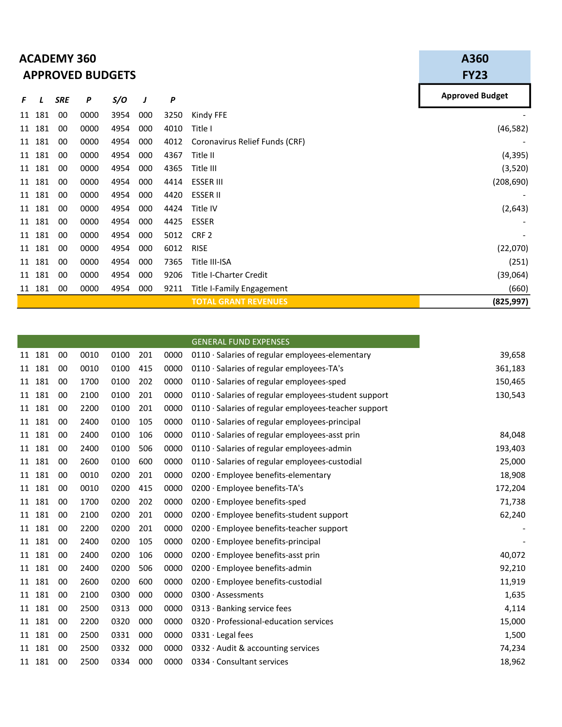|    |        | <b>ACADEMY 360</b><br><b>APPROVED BUDGETS</b> | A360<br><b>FY23</b> |      |     |      |                                |                        |
|----|--------|-----------------------------------------------|---------------------|------|-----|------|--------------------------------|------------------------|
| F  |        | <b>SRE</b>                                    | P                   | S/O  | J   | P    |                                | <b>Approved Budget</b> |
| 11 | 181    | 00                                            | 0000                | 3954 | 000 | 3250 | Kindy FFE                      |                        |
| 11 | 181    | 00                                            | 0000                | 4954 | 000 | 4010 | Title I                        | (46, 582)              |
|    | 11 181 | 00                                            | 0000                | 4954 | 000 | 4012 | Coronavirus Relief Funds (CRF) |                        |
| 11 | 181    | 00                                            | 0000                | 4954 | 000 | 4367 | Title II                       | (4, 395)               |
| 11 | 181    | 00                                            | 0000                | 4954 | 000 | 4365 | Title III                      | (3,520)                |
| 11 | 181    | 00                                            | 0000                | 4954 | 000 | 4414 | <b>ESSER III</b>               | (208, 690)             |
| 11 | 181    | 00                                            | 0000                | 4954 | 000 | 4420 | <b>ESSER II</b>                |                        |
|    | 11 181 | 00                                            | 0000                | 4954 | 000 | 4424 | Title IV                       | (2, 643)               |
| 11 | 181    | 00                                            | 0000                | 4954 | 000 | 4425 | <b>ESSER</b>                   |                        |
| 11 | 181    | 00                                            | 0000                | 4954 | 000 | 5012 | CRF <sub>2</sub>               |                        |
| 11 | 181    | 00                                            | 0000                | 4954 | 000 | 6012 | <b>RISE</b>                    | (22,070)               |
| 11 | 181    | 00                                            | 0000                | 4954 | 000 | 7365 | Title III-ISA                  | (251)                  |
|    | 11 181 | 00                                            | 0000                | 4954 | 000 | 9206 | <b>Title I-Charter Credit</b>  | (39,064)               |
|    | 11 181 | 00                                            | 0000                | 4954 | 000 | 9211 | Title I-Family Engagement      | (660)                  |
|    |        |                                               |                     |      |     |      | <b>TOTAL GRANT REVENUES</b>    | (825, 997)             |

|        |     |    |      |      |     |      | <b>GENERAL FUND EXPENSES</b>                               |         |
|--------|-----|----|------|------|-----|------|------------------------------------------------------------|---------|
| 11 181 |     | 00 | 0010 | 0100 | 201 | 0000 | 0110 · Salaries of regular employees-elementary            | 39,658  |
| 11     | 181 | 00 | 0010 | 0100 | 415 | 0000 | $0110 \cdot$ Salaries of regular employees-TA's            | 361,183 |
| 11     | 181 | 00 | 1700 | 0100 | 202 | 0000 | $0110 \cdot$ Salaries of regular employees-sped            | 150,465 |
| 11     | 181 | 00 | 2100 | 0100 | 201 | 0000 | $0110 \cdot$ Salaries of regular employees-student support | 130,543 |
| 11     | 181 | 00 | 2200 | 0100 | 201 | 0000 | 0110 · Salaries of regular employees-teacher support       |         |
| 11     | 181 | 00 | 2400 | 0100 | 105 | 0000 | $0110 \cdot$ Salaries of regular employees-principal       |         |
| 11     | 181 | 00 | 2400 | 0100 | 106 | 0000 | $0110 \cdot$ Salaries of regular employees-asst prin       | 84,048  |
| 11     | 181 | 00 | 2400 | 0100 | 506 | 0000 | $0110 \cdot$ Salaries of regular employees-admin           | 193,403 |
| 11     | 181 | 00 | 2600 | 0100 | 600 | 0000 | $0110 \cdot$ Salaries of regular employees-custodial       | 25,000  |
| 11     | 181 | 00 | 0010 | 0200 | 201 | 0000 | 0200 · Employee benefits-elementary                        | 18,908  |
| 11     | 181 | 00 | 0010 | 0200 | 415 | 0000 | 0200 · Employee benefits-TA's                              | 172,204 |
| 11     | 181 | 00 | 1700 | 0200 | 202 | 0000 | 0200 · Employee benefits-sped                              | 71,738  |
| 11     | 181 | 00 | 2100 | 0200 | 201 | 0000 | 0200 · Employee benefits-student support                   | 62,240  |
| 11     | 181 | 00 | 2200 | 0200 | 201 | 0000 | 0200 · Employee benefits-teacher support                   |         |
| 11     | 181 | 00 | 2400 | 0200 | 105 | 0000 | 0200 · Employee benefits-principal                         |         |
| 11     | 181 | 00 | 2400 | 0200 | 106 | 0000 | $0200 \cdot$ Employee benefits-asst prin                   | 40,072  |
| 11     | 181 | 00 | 2400 | 0200 | 506 | 0000 | 0200 · Employee benefits-admin                             | 92,210  |
| 11     | 181 | 00 | 2600 | 0200 | 600 | 0000 | $0200 \cdot$ Employee benefits-custodial                   | 11,919  |
| 11     | 181 | 00 | 2100 | 0300 | 000 | 0000 | $0300 \cdot$ Assessments                                   | 1,635   |
| 11     | 181 | 00 | 2500 | 0313 | 000 | 0000 | $0313 \cdot$ Banking service fees                          | 4,114   |
| 11     | 181 | 00 | 2200 | 0320 | 000 | 0000 | 0320 · Professional-education services                     | 15,000  |
| 11     | 181 | 00 | 2500 | 0331 | 000 | 0000 | $0331 \cdot$ Legal fees                                    | 1,500   |
| 11     | 181 | 00 | 2500 | 0332 | 000 | 0000 | 0332 $\cdot$ Audit & accounting services                   | 74,234  |
| 11 181 |     | 00 | 2500 | 0334 | 000 | 0000 | 0334 · Consultant services                                 | 18,962  |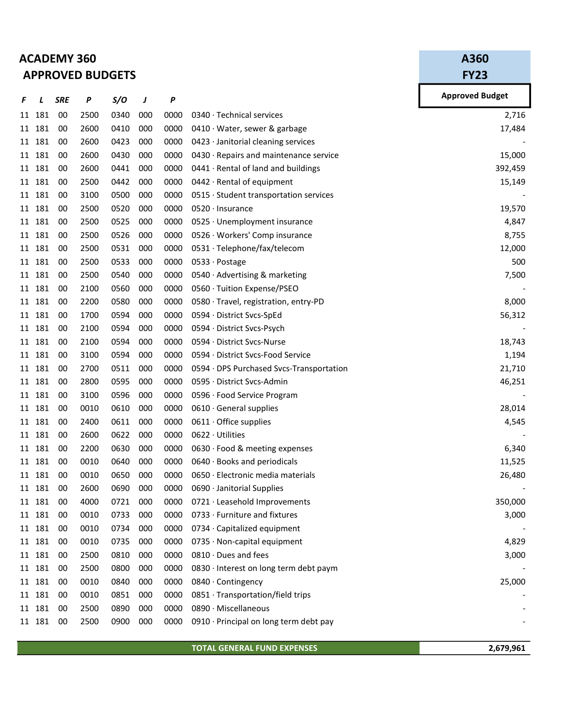## ACADEMY 360 APPROVED BUDGETS

A360 FY23

| F  | ı      | <b>SRE</b> | P    | S/O  | J   | Ρ    |                                             | <b>Approved Budget</b> |
|----|--------|------------|------|------|-----|------|---------------------------------------------|------------------------|
| 11 | 181    | 00         | 2500 | 0340 | 000 | 0000 | 0340 · Technical services                   | 2,716                  |
| 11 | 181    | 00         | 2600 | 0410 | 000 | 0000 | 0410 $\cdot$ Water, sewer & garbage         | 17,484                 |
| 11 | 181    | 00         | 2600 | 0423 | 000 | 0000 | $0423 \cdot$ Janitorial cleaning services   |                        |
|    | 11 181 | 00         | 2600 | 0430 | 000 | 0000 | 0430 · Repairs and maintenance service      | 15,000                 |
| 11 | 181    | 00         | 2600 | 0441 | 000 | 0000 | 0441 · Rental of land and buildings         | 392,459                |
|    | 11 181 | 00         | 2500 | 0442 | 000 | 0000 | 0442 · Rental of equipment                  | 15,149                 |
| 11 | 181    | 00         | 3100 | 0500 | 000 | 0000 | 0515 · Student transportation services      |                        |
|    | 11 181 | 00         | 2500 | 0520 | 000 | 0000 | $0520 \cdot$ Insurance                      | 19,570                 |
|    | 11 181 | 00         | 2500 | 0525 | 000 | 0000 | 0525 · Unemployment insurance               | 4,847                  |
|    | 11 181 | 00         | 2500 | 0526 | 000 | 0000 | 0526 · Workers' Comp insurance              | 8,755                  |
|    | 11 181 | 00         | 2500 | 0531 | 000 | 0000 | 0531 · Telephone/fax/telecom                | 12,000                 |
| 11 | 181    | 00         | 2500 | 0533 | 000 | 0000 | 0533 · Postage                              | 500                    |
|    | 11 181 | 00         | 2500 | 0540 | 000 | 0000 | 0540 · Advertising & marketing              | 7,500                  |
| 11 | 181    | 00         | 2100 | 0560 | 000 | 0000 | 0560 · Tuition Expense/PSEO                 |                        |
|    | 11 181 | 00         | 2200 | 0580 | 000 | 0000 | $0580 \cdot$ Travel, registration, entry-PD | 8,000                  |
|    | 11 181 | 00         | 1700 | 0594 | 000 | 0000 | 0594 · District Svcs-SpEd                   | 56,312                 |
| 11 | 181    | 00         | 2100 | 0594 | 000 | 0000 | 0594 · District Svcs-Psych                  |                        |
|    | 11 181 | 00         | 2100 | 0594 | 000 | 0000 | 0594 · District Svcs-Nurse                  | 18,743                 |
| 11 | 181    | 00         | 3100 | 0594 | 000 | 0000 | 0594 · District Svcs-Food Service           | 1,194                  |
|    | 11 181 | 00         | 2700 | 0511 | 000 | 0000 | 0594 · DPS Purchased Svcs-Transportation    | 21,710                 |
|    | 11 181 | 00         | 2800 | 0595 | 000 | 0000 | 0595 · District Svcs-Admin                  | 46,251                 |
|    | 11 181 | 00         | 3100 | 0596 | 000 | 0000 | 0596 · Food Service Program                 |                        |
|    | 11 181 | 00         | 0010 | 0610 | 000 | 0000 | 0610 · General supplies                     | 28,014                 |
| 11 | 181    | 00         | 2400 | 0611 | 000 | 0000 | $0611 \cdot$ Office supplies                | 4,545                  |
|    | 11 181 | 00         | 2600 | 0622 | 000 | 0000 | 0622 · Utilities                            |                        |
| 11 | 181    | 00         | 2200 | 0630 | 000 | 0000 | 0630 · Food & meeting expenses              | 6,340                  |
|    | 11 181 | 00         | 0010 | 0640 | 000 | 0000 | 0640 · Books and periodicals                | 11,525                 |
|    | 11 181 | 00         | 0010 | 0650 | 000 | 0000 | 0650 · Electronic media materials           | 26,480                 |
|    | 11 181 | 00         | 2600 | 0690 | 000 | 0000 | 0690 · Janitorial Supplies                  |                        |
|    | 11 181 | 00         | 4000 | 0721 | 000 | 0000 | $0721 \cdot$ Leasehold Improvements         | 350,000                |
|    | 11 181 | 00         | 0010 | 0733 | 000 | 0000 | 0733 · Furniture and fixtures               | 3,000                  |
|    | 11 181 | 00         | 0010 | 0734 | 000 | 0000 | 0734 · Capitalized equipment                |                        |
|    | 11 181 | 00         | 0010 | 0735 | 000 | 0000 | 0735 · Non-capital equipment                | 4,829                  |
|    | 11 181 | 00         | 2500 | 0810 | 000 | 0000 | $0810 \cdot$ Dues and fees                  | 3,000                  |
|    | 11 181 | 00         | 2500 | 0800 | 000 | 0000 | 0830 · Interest on long term debt paym      |                        |
|    | 11 181 | 00         | 0010 | 0840 | 000 | 0000 | 0840 · Contingency                          | 25,000                 |
|    | 11 181 | 00         | 0010 | 0851 | 000 | 0000 | 0851 · Transportation/field trips           |                        |
|    | 11 181 | 00         | 2500 | 0890 | 000 | 0000 | 0890 · Miscellaneous                        |                        |
|    | 11 181 | 00         | 2500 | 0900 | 000 | 0000 | 0910 · Principal on long term debt pay      |                        |
|    |        |            |      |      |     |      |                                             |                        |

TOTAL GENERAL FUND EXPENSES 2,679,961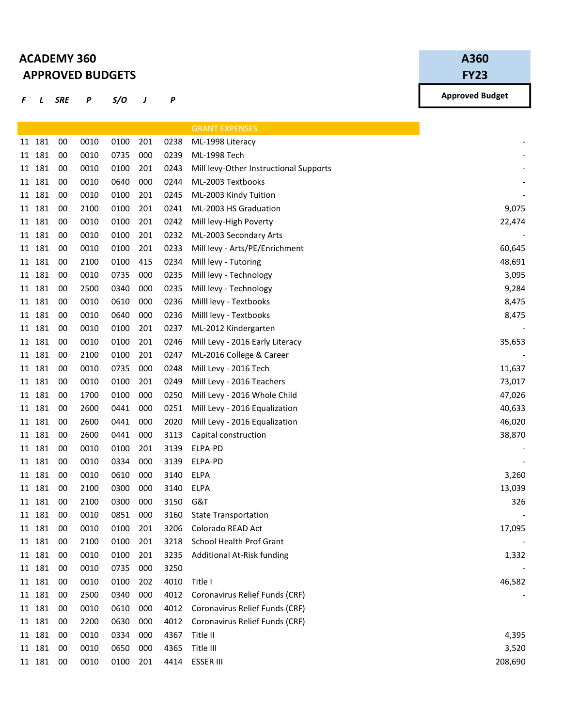## ACADEMY 360 APPROVED BUDGETS

## A360

FY23

F L SRE P S/O J P

|           |    |      |      |     |      | <b>GRANT EXPENSES</b>                  |
|-----------|----|------|------|-----|------|----------------------------------------|
| 11 181    | 00 | 0010 | 0100 | 201 | 0238 | ML-1998 Literacy                       |
| 11 181    | 00 | 0010 | 0735 | 000 | 0239 | ML-1998 Tech                           |
| 11 181    | 00 | 0010 | 0100 | 201 | 0243 | Mill levy-Other Instructional Supports |
| 11 181    | 00 | 0010 | 0640 | 000 | 0244 | ML-2003 Textbooks                      |
| 11 181    | 00 | 0010 | 0100 | 201 | 0245 | ML-2003 Kindy Tuition                  |
| 11 181    | 00 | 2100 | 0100 | 201 | 0241 | ML-2003 HS Graduation                  |
| 181<br>11 | 00 | 0010 | 0100 | 201 | 0242 | Mill levy-High Poverty                 |
| 11 181    | 00 | 0010 | 0100 | 201 | 0232 | ML-2003 Secondary Arts                 |
| 11 181    | 00 | 0010 | 0100 | 201 | 0233 | Mill levy - Arts/PE/Enrichment         |
| 11 181    | 00 | 2100 | 0100 | 415 | 0234 | Mill levy - Tutoring                   |
| 11 181    | 00 | 0010 | 0735 | 000 | 0235 | Mill levy - Technology                 |
| 11 181    | 00 | 2500 | 0340 | 000 | 0235 | Mill levy - Technology                 |
| 11 181    | 00 | 0010 | 0610 | 000 | 0236 | Milll levy - Textbooks                 |
| 11 181    | 00 | 0010 | 0640 | 000 | 0236 | Milll levy - Textbooks                 |
| 11 181    | 00 | 0010 | 0100 | 201 | 0237 | ML-2012 Kindergarten                   |
| 11 181    | 00 | 0010 | 0100 | 201 | 0246 | Mill Levy - 2016 Early Literacy        |
| 11 181    | 00 | 2100 | 0100 | 201 | 0247 | ML-2016 College & Career               |
| 11 181    | 00 | 0010 | 0735 | 000 | 0248 | Mill Levy - 2016 Tech                  |
| 181<br>11 | 00 | 0010 | 0100 | 201 | 0249 | Mill Levy - 2016 Teachers              |
| 11 181    | 00 | 1700 | 0100 | 000 | 0250 | Mill Levy - 2016 Whole Child           |
| 11 181    | 00 | 2600 | 0441 | 000 | 0251 | Mill Levy - 2016 Equalization          |
| 11 181    | 00 | 2600 | 0441 | 000 | 2020 | Mill Levy - 2016 Equalization          |
| 11 181    | 00 | 2600 | 0441 | 000 | 3113 | Capital construction                   |
| 11 181    | 00 | 0010 | 0100 | 201 | 3139 | ELPA-PD                                |
| 11 181    | 00 | 0010 | 0334 | 000 | 3139 | ELPA-PD                                |
| 181<br>11 | 00 | 0010 | 0610 | 000 | 3140 | <b>ELPA</b>                            |
| 11 181    | 00 | 2100 | 0300 | 000 | 3140 | ELPA                                   |
| 11 181    | 00 | 2100 | 0300 | 000 | 3150 | G&T                                    |
| 11 181    | 00 | 0010 | 0851 | 000 | 3160 | <b>State Transportation</b>            |
| 11 181    | 00 | 0010 | 0100 | 201 | 3206 | Colorado READ Act                      |
| 11 181    | 00 | 2100 | 0100 | 201 | 3218 | School Health Prof Grant               |
| 11 181    | 00 | 0010 | 0100 | 201 | 3235 | Additional At-Risk funding             |
| 11 181    | 00 | 0010 | 0735 | 000 | 3250 |                                        |
| 11 181    | 00 | 0010 | 0100 | 202 | 4010 | Title I                                |
| 11 181    | 00 | 2500 | 0340 | 000 | 4012 | Coronavirus Relief Funds (CRF)         |
| 11 181    | 00 | 0010 | 0610 | 000 | 4012 | Coronavirus Relief Funds (CRF)         |
| 11 181    | 00 | 2200 | 0630 | 000 | 4012 | Coronavirus Relief Funds (CRF)         |
| 11 181    | 00 | 0010 | 0334 | 000 | 4367 | Title II                               |
| 11 181    | 00 | 0010 | 0650 | 000 | 4365 | Title III                              |
| 11 181    | 00 | 0010 | 0100 | 201 | 4414 | <b>ESSER III</b>                       |